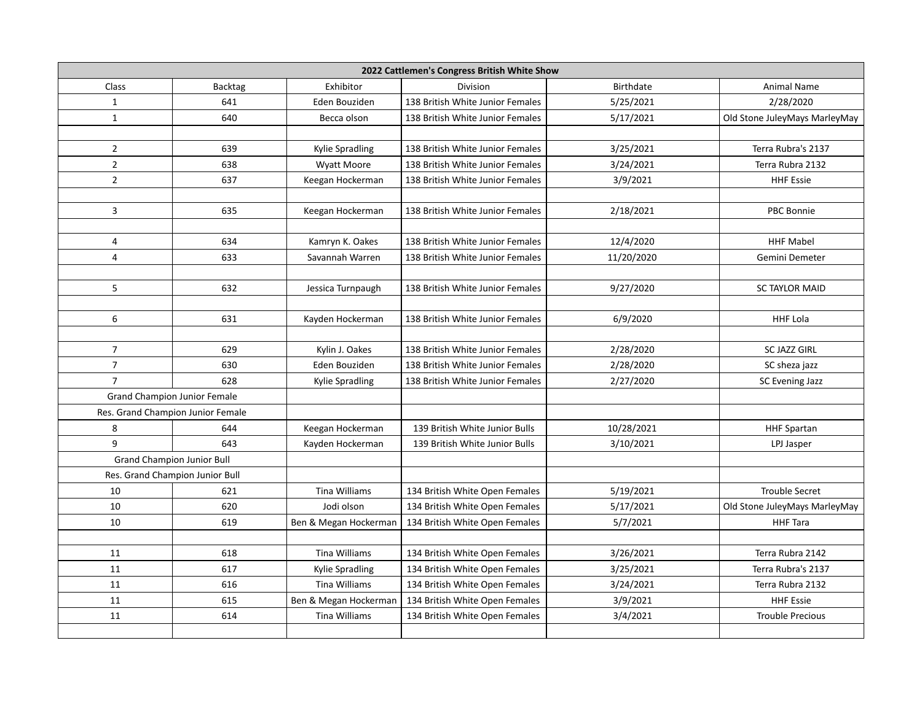| 2022 Cattlemen's Congress British White Show |                                   |                       |                                  |                  |                               |  |  |  |
|----------------------------------------------|-----------------------------------|-----------------------|----------------------------------|------------------|-------------------------------|--|--|--|
| Class                                        | <b>Backtag</b>                    | Exhibitor             | <b>Division</b>                  | <b>Birthdate</b> | <b>Animal Name</b>            |  |  |  |
| $\mathbf{1}$                                 | 641                               | Eden Bouziden         | 138 British White Junior Females | 5/25/2021        | 2/28/2020                     |  |  |  |
| $\mathbf{1}$                                 | 640                               | Becca olson           | 138 British White Junior Females | 5/17/2021        | Old Stone JuleyMays MarleyMay |  |  |  |
|                                              |                                   |                       |                                  |                  |                               |  |  |  |
| $\mathbf{2}$                                 | 639                               | Kylie Spradling       | 138 British White Junior Females | 3/25/2021        | Terra Rubra's 2137            |  |  |  |
| $\mathbf{2}$                                 | 638                               | Wyatt Moore           | 138 British White Junior Females | 3/24/2021        | Terra Rubra 2132              |  |  |  |
| $\overline{2}$                               | 637                               | Keegan Hockerman      | 138 British White Junior Females | 3/9/2021         | <b>HHF Essie</b>              |  |  |  |
|                                              |                                   |                       |                                  |                  |                               |  |  |  |
| 3                                            | 635                               | Keegan Hockerman      | 138 British White Junior Females | 2/18/2021        | PBC Bonnie                    |  |  |  |
|                                              |                                   |                       |                                  |                  |                               |  |  |  |
| 4                                            | 634                               | Kamryn K. Oakes       | 138 British White Junior Females | 12/4/2020        | <b>HHF Mabel</b>              |  |  |  |
| 4                                            | 633                               | Savannah Warren       | 138 British White Junior Females | 11/20/2020       | Gemini Demeter                |  |  |  |
|                                              |                                   |                       |                                  |                  |                               |  |  |  |
| 5                                            | 632                               | Jessica Turnpaugh     | 138 British White Junior Females | 9/27/2020        | <b>SC TAYLOR MAID</b>         |  |  |  |
|                                              |                                   |                       |                                  |                  |                               |  |  |  |
| 6                                            | 631                               | Kayden Hockerman      | 138 British White Junior Females | 6/9/2020         | <b>HHF Lola</b>               |  |  |  |
|                                              |                                   |                       |                                  |                  |                               |  |  |  |
| $\overline{7}$                               | 629                               | Kylin J. Oakes        | 138 British White Junior Females | 2/28/2020        | <b>SC JAZZ GIRL</b>           |  |  |  |
| $\overline{7}$                               | 630                               | Eden Bouziden         | 138 British White Junior Females | 2/28/2020        | SC sheza jazz                 |  |  |  |
| $\overline{7}$                               | 628                               | Kylie Spradling       | 138 British White Junior Females | 2/27/2020        | SC Evening Jazz               |  |  |  |
| <b>Grand Champion Junior Female</b>          |                                   |                       |                                  |                  |                               |  |  |  |
| Res. Grand Champion Junior Female            |                                   |                       |                                  |                  |                               |  |  |  |
| 8                                            | 644                               | Keegan Hockerman      | 139 British White Junior Bulls   | 10/28/2021       | <b>HHF Spartan</b>            |  |  |  |
| 9                                            | 643                               | Kayden Hockerman      | 139 British White Junior Bulls   | 3/10/2021        | LPJ Jasper                    |  |  |  |
|                                              | <b>Grand Champion Junior Bull</b> |                       |                                  |                  |                               |  |  |  |
|                                              | Res. Grand Champion Junior Bull   |                       |                                  |                  |                               |  |  |  |
| 10                                           | 621                               | <b>Tina Williams</b>  | 134 British White Open Females   | 5/19/2021        | <b>Trouble Secret</b>         |  |  |  |
| 10                                           | 620                               | Jodi olson            | 134 British White Open Females   | 5/17/2021        | Old Stone JuleyMays MarleyMay |  |  |  |
| 10                                           | 619                               | Ben & Megan Hockerman | 134 British White Open Females   | 5/7/2021         | <b>HHF Tara</b>               |  |  |  |
|                                              |                                   |                       |                                  |                  |                               |  |  |  |
| 11                                           | 618                               | <b>Tina Williams</b>  | 134 British White Open Females   | 3/26/2021        | Terra Rubra 2142              |  |  |  |
| 11                                           | 617                               | Kylie Spradling       | 134 British White Open Females   | 3/25/2021        | Terra Rubra's 2137            |  |  |  |
| 11                                           | 616                               | <b>Tina Williams</b>  | 134 British White Open Females   | 3/24/2021        | Terra Rubra 2132              |  |  |  |
| 11                                           | 615                               | Ben & Megan Hockerman | 134 British White Open Females   | 3/9/2021         | <b>HHF Essie</b>              |  |  |  |
| 11                                           | 614                               | <b>Tina Williams</b>  | 134 British White Open Females   | 3/4/2021         | <b>Trouble Precious</b>       |  |  |  |
|                                              |                                   |                       |                                  |                  |                               |  |  |  |